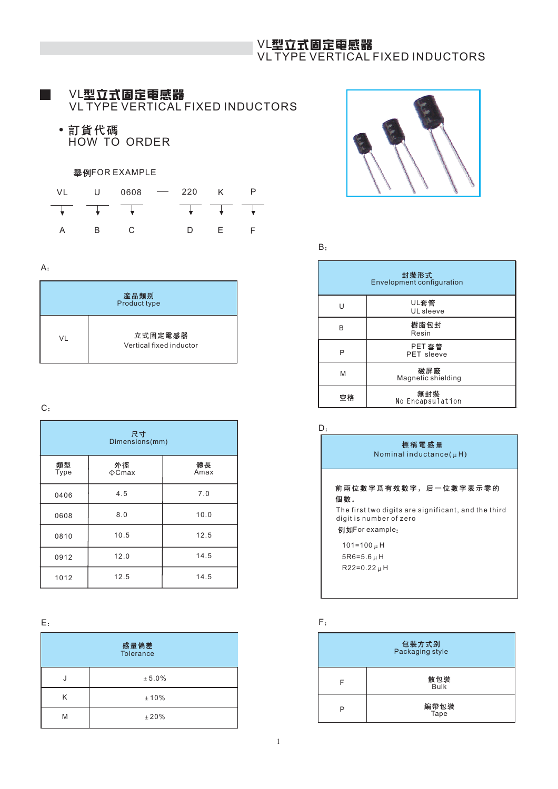# VL VL TYPE VERTICAL FIXED INDUCTORS

# VL

VL TYPE VERTICAL FIXED INDUCTORS

• 訂貨代碼 HOW TO ORDER

## 舉例FOR EXAMPLE

| VL | U 0608 - 220 K                                                                                                                                                                                                                                                                                                                                                                       |  |    |  |
|----|--------------------------------------------------------------------------------------------------------------------------------------------------------------------------------------------------------------------------------------------------------------------------------------------------------------------------------------------------------------------------------------|--|----|--|
|    | $\overline{+}$ $\overline{+}$ $\overline{+}$ $\overline{+}$ $\overline{+}$ $\overline{+}$ $\overline{+}$ $\overline{+}$ $\overline{+}$ $\overline{+}$ $\overline{+}$ $\overline{+}$ $\overline{+}$ $\overline{+}$ $\overline{+}$ $\overline{+}$ $\overline{+}$ $\overline{+}$ $\overline{+}$ $\overline{+}$ $\overline{+}$ $\overline{+}$ $\overline{+}$ $\overline{+}$ $\overline{$ |  |    |  |
|    |                                                                                                                                                                                                                                                                                                                                                                                      |  | E. |  |

#### A

| 産品類别<br>Product type |                                    |  |  |  |  |  |  |  |
|----------------------|------------------------------------|--|--|--|--|--|--|--|
| VI                   | 立式固定電感器<br>Vertical fixed inductor |  |  |  |  |  |  |  |

### $C<sub>1</sub>$

| 尺寸<br>Dimensions(mm) |                   |            |  |  |  |  |  |  |
|----------------------|-------------------|------------|--|--|--|--|--|--|
| 類型<br>Type           | 外徑<br>$\Phi$ Cmax | 體長<br>Amax |  |  |  |  |  |  |
| 0406                 | 4.5               | 7.0        |  |  |  |  |  |  |
| 0608                 | 8.0               | 10.0       |  |  |  |  |  |  |
| 0810                 | 10.5              | 12.5       |  |  |  |  |  |  |
| 0912                 | 12.0              | 14.5       |  |  |  |  |  |  |
| 1012                 | 12.5              | 14.5       |  |  |  |  |  |  |

| E: |                   | F |
|----|-------------------|---|
|    | 感量偏差<br>Tolerance |   |
|    | $\pm 5.0\%$       |   |
| Κ  | ±10%              |   |
| M  | ±20%              |   |



 $B:$ 

|    | 封裝形式<br><b>Envelopment configuration</b> |
|----|------------------------------------------|
| U  | UL套管<br>UL sleeve                        |
| R  | 樹脂包封<br>Resin                            |
| P  | PET 套管<br>PET sleeve                     |
| M  | 磁屏蔽<br>Magnetic shielding                |
| 空格 | 無封裝<br>No Encapsulation                  |

 $D:$ 



| 感量偏差<br><b>Tolerance</b> |   | 包裝方式别<br>Packaging style |
|--------------------------|---|--------------------------|
| ± 5.0%                   | F | 散包裝<br><b>Bulk</b>       |
| ±10%                     |   | 編帶包裝                     |
| ±20%                     | P | Tape                     |